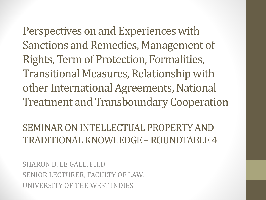Perspectives on and Experiences with Sanctions and Remedies, Management of Rights, Term of Protection, Formalities, Transitional Measures, Relationship with other International Agreements, National Treatment and TransboundaryCooperation

SEMINAR ON INTELLECTUAL PROPERTY AND TRADITIONAL KNOWLEDGE –ROUNDTABLE 4

SHARON B. LE GALL, PH.D. SENIOR LECTURER, FACULTY OF LAW, UNIVERSITY OF THE WEST INDIES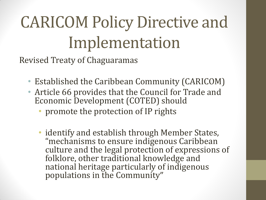## CARICOM Policy Directive and Implementation

Revised Treaty of Chaguaramas

- Established the Caribbean Community (CARICOM)
- Article 66 provides that the Council for Trade and Economic Development (COTED) should
	- promote the protection of IP rights
	- identify and establish through Member States, "mechanisms to ensure indigenous Caribbean culture and the legal protection of expressions of folklore, other traditional knowledge and national heritage particularly of indigenous populations in the Community"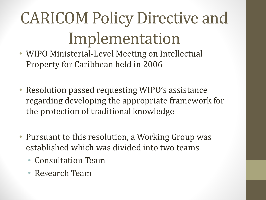## CARICOM Policy Directive and Implementation

- WIPO Ministerial-Level Meeting on Intellectual Property for Caribbean held in 2006
- Resolution passed requesting WIPO's assistance regarding developing the appropriate framework for the protection of traditional knowledge
- Pursuant to this resolution, a Working Group was established which was divided into two teams
	- Consultation Team
	- Research Team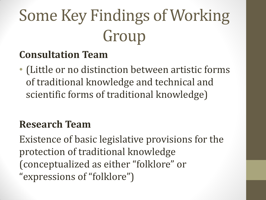# Some Key Findings of Working Group

#### **Consultation Team**

• (Little or no distinction between artistic forms of traditional knowledge and technical and scientific forms of traditional knowledge)

#### **Research Team**

Existence of basic legislative provisions for the protection of traditional knowledge (conceptualized as either "folklore" or "expressions of "folklore")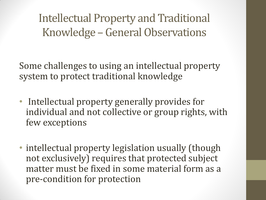Intellectual Property and Traditional Knowledge – General Observations

Some challenges to using an intellectual property system to protect traditional knowledge

- Intellectual property generally provides for individual and not collective or group rights, with few exceptions
- intellectual property legislation usually (though not exclusively) requires that protected subject matter must be fixed in some material form as a pre-condition for protection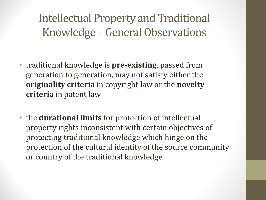Intellectual Property and Traditional Knowledge – General Observations

- traditional knowledge is **pre-existing**, passed from generation to generation, may not satisfy either the **originality criteria** in copyright law or the **novelty criteria** in patent law
- the **durational limits** for protection of intellectual property rights inconsistent with certain objectives of protecting traditional knowledge which hinge on the protection of the cultural identity of the source community or country of the traditional knowledge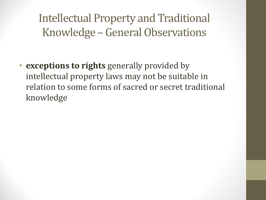Intellectual Property and Traditional Knowledge – General Observations

• **exceptions to rights** generally provided by intellectual property laws may not be suitable in relation to some forms of sacred or secret traditional knowledge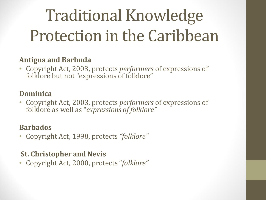## Traditional Knowledge Protection in the Caribbean

#### **Antigua and Barbuda**

• Copyright Act, 2003, protects *performers* of expressions of folklore but not "expressions of folklore"

#### **Dominica**

• Copyright Act, 2003, protects *performers* of expressions of folklore as well as "*expressions of folklore"*

#### **Barbados**

• Copyright Act, 1998, protects *"folklore"*

#### **St. Christopher and Nevis**

• Copyright Act, 2000, protects "*folklore"*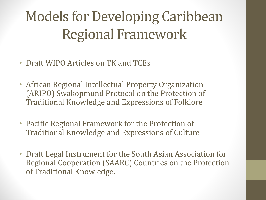### Models for Developing Caribbean Regional Framework

- Draft WIPO Articles on TK and TCEs
- African Regional Intellectual Property Organization (ARIPO) Swakopmund Protocol on the Protection of Traditional Knowledge and Expressions of Folklore
- Pacific Regional Framework for the Protection of Traditional Knowledge and Expressions of Culture
- Draft Legal Instrument for the South Asian Association for Regional Cooperation (SAARC) Countries on the Protection of Traditional Knowledge.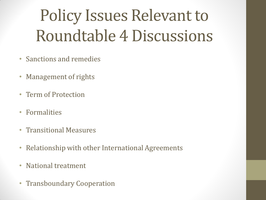## Policy Issues Relevant to Roundtable 4 Discussions

- Sanctions and remedies
- Management of rights
- Term of Protection
- Formalities
- Transitional Measures
- Relationship with other International Agreements
- National treatment
- Transboundary Cooperation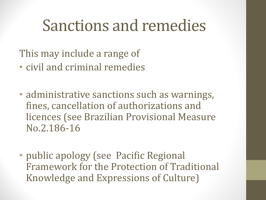#### Sanctions and remedies

This may include a range of

- civil and criminal remedies
- administrative sanctions such as warnings, fines, cancellation of authorizations and licences (see Brazilian Provisional Measure No.2.186-16
- public apology (see Pacific Regional Framework for the Protection of Traditional Knowledge and Expressions of Culture)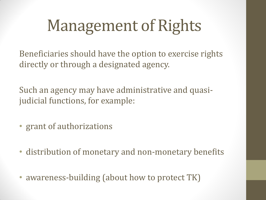## Management of Rights

Beneficiaries should have the option to exercise rights directly or through a designated agency.

Such an agency may have administrative and quasijudicial functions, for example:

- grant of authorizations
- distribution of monetary and non-monetary benefits
- awareness-building (about how to protect TK)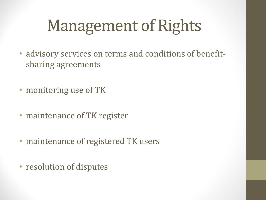## Management of Rights

- advisory services on terms and conditions of benefitsharing agreements
- monitoring use of TK
- maintenance of TK register
- maintenance of registered TK users
- resolution of disputes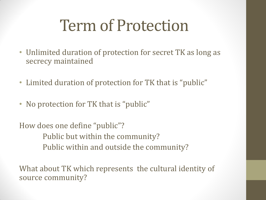## Term of Protection

- Unlimited duration of protection for secret TK as long as secrecy maintained
- Limited duration of protection for TK that is "public"
- No protection for TK that is "public"

How does one define "public"? Public but within the community? Public within and outside the community?

What about TK which represents the cultural identity of source community?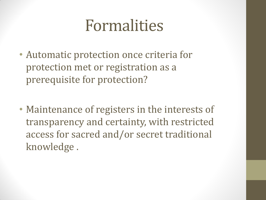### Formalities

- Automatic protection once criteria for protection met or registration as a prerequisite for protection?
- Maintenance of registers in the interests of transparency and certainty, with restricted access for sacred and/or secret traditional knowledge .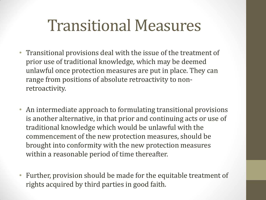### Transitional Measures

- Transitional provisions deal with the issue of the treatment of prior use of traditional knowledge*,* which may be deemed unlawful once protection measures are put in place. They can range from positions of absolute retroactivity to nonretroactivity.
- An intermediate approach to formulating transitional provisions is another alternative, in that prior and continuing acts or use of traditional knowledge which would be unlawful with the commencement of the new protection measures, should be brought into conformity with the new protection measures within a reasonable period of time thereafter.
- Further, provision should be made for the equitable treatment of rights acquired by third parties in good faith.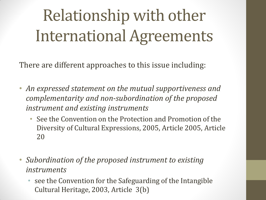# Relationship with other International Agreements

There are different approaches to this issue including:

- *An expressed statement on the mutual supportiveness and complementarity and non-subordination of the proposed instrument and existing instruments*
	- See the Convention on the Protection and Promotion of the Diversity of Cultural Expressions, 2005, Article 2005, Article 20
- *Subordination of the proposed instrument to existing instruments*
	- see the Convention for the Safeguarding of the Intangible Cultural Heritage, 2003, Article 3(b)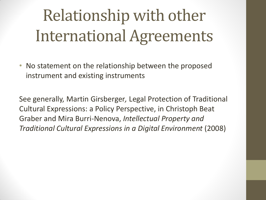# Relationship with other International Agreements

• No statement on the relationship between the proposed instrument and existing instruments

See generally, Martin Girsberger*,* Legal Protection of Traditional Cultural Expressions: a Policy Perspective, in Christoph Beat Graber and Mira Burri-Nenova, *Intellectual Property and Traditional Cultural Expressions in a Digital Environment* (2008)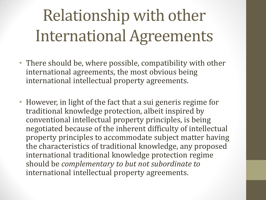# Relationship with other International Agreements

- There should be, where possible, compatibility with other international agreements, the most obvious being international intellectual property agreements.
- However, in light of the fact that a sui generis regime for traditional knowledge protection, albeit inspired by conventional intellectual property principles, is being negotiated because of the inherent difficulty of intellectual property principles to accommodate subject matter having the characteristics of traditional knowledge, any proposed international traditional knowledge protection regime should be *complementary to but not subordinate to*  international intellectual property agreements.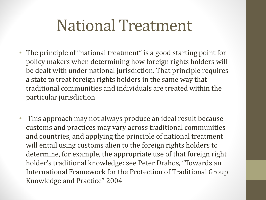### National Treatment

- The principle of "national treatment" is a good starting point for policy makers when determining how foreign rights holders will be dealt with under national jurisdiction. That principle requires a state to treat foreign rights holders in the same way that traditional communities and individuals are treated within the particular jurisdiction
- This approach may not always produce an ideal result because customs and practices may vary across traditional communities and countries, and applying the principle of national treatment will entail using customs alien to the foreign rights holders to determine, for example, the appropriate use of that foreign right holder's traditional knowledge: see Peter Drahos, "Towards an International Framework for the Protection of Traditional Group Knowledge and Practice" 2004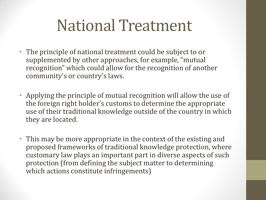## National Treatment

- The principle of national treatment could be subject to or supplemented by other approaches, for example, "mutual recognition" which could allow for the recognition of another community's or country's laws.
- Applying the principle of mutual recognition will allow the use of the foreign right holder's customs to determine the appropriate use of their traditional knowledge outside of the country in which they are located.
- This may be more appropriate in the context of the existing and proposed frameworks of traditional knowledge protection, where customary law plays an important part in diverse aspects of such protection (from defining the subject matter to determining which actions constitute infringements)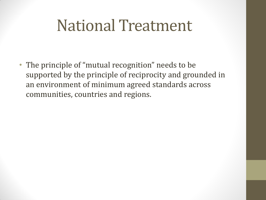### National Treatment

• The principle of "mutual recognition" needs to be supported by the principle of reciprocity and grounded in an environment of minimum agreed standards across communities, countries and regions.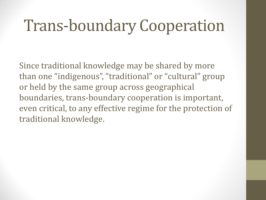## Trans-boundary Cooperation

Since traditional knowledge may be shared by more than one "indigenous", "traditional" or "cultural" group or held by the same group across geographical boundaries, trans-boundary cooperation is important, even critical, to any effective regime for the protection of traditional knowledge.